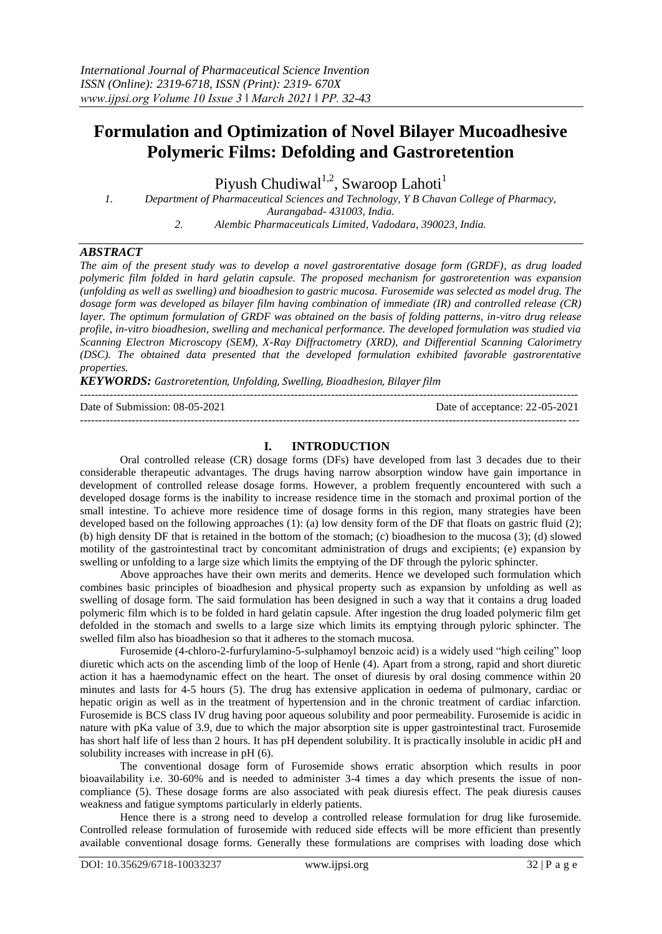# **Formulation and Optimization of Novel Bilayer Mucoadhesive Polymeric Films: Defolding and Gastroretention**

Piyush Chudiwal<sup>1,2</sup>, Swaroop Lahoti<sup>1</sup>

*1. Department of Pharmaceutical Sciences and Technology, Y B Chavan College of Pharmacy,* 

*Aurangabad- 431003, India.*

*2. Alembic Pharmaceuticals Limited, Vadodara, 390023, India.*

# *ABSTRACT*

*The aim of the present study was to develop a novel gastrorentative dosage form (GRDF), as drug loaded polymeric film folded in hard gelatin capsule. The proposed mechanism for gastroretention was expansion (unfolding as well as swelling) and bioadhesion to gastric mucosa. Furosemide was selected as model drug. The dosage form was developed as bilayer film having combination of immediate (IR) and controlled release (CR) layer. The optimum formulation of GRDF was obtained on the basis of folding patterns, in-vitro drug release profile, in-vitro bioadhesion, swelling and mechanical performance. The developed formulation was studied via Scanning Electron Microscopy (SEM), X-Ray Diffractometry (XRD), and Differential Scanning Calorimetry (DSC). The obtained data presented that the developed formulation exhibited favorable gastrorentative properties.*

*KEYWORDS: Gastroretention, Unfolding, Swelling, Bioadhesion, Bilayer film*

--------------------------------------------------------------------------------------------------------------------------------------- Date of Submission: 08-05-2021 Date of acceptance: 22-05-2021 ---------------------------------------------------------------------------------------------------------------------------------------

### **I. INTRODUCTION**

Oral controlled release (CR) dosage forms (DFs) have developed from last 3 decades due to their considerable therapeutic advantages. The drugs having narrow absorption window have gain importance in development of controlled release dosage forms. However, a problem frequently encountered with such a developed dosage forms is the inability to increase residence time in the stomach and proximal portion of the small intestine. To achieve more residence time of dosage forms in this region, many strategies have been developed based on the following approaches (1): (a) low density form of the DF that floats on gastric fluid (2); (b) high density DF that is retained in the bottom of the stomach; (c) bioadhesion to the mucosa (3); (d) slowed motility of the gastrointestinal tract by concomitant administration of drugs and excipients; (e) expansion by swelling or unfolding to a large size which limits the emptying of the DF through the pyloric sphincter.

Above approaches have their own merits and demerits. Hence we developed such formulation which combines basic principles of bioadhesion and physical property such as expansion by unfolding as well as swelling of dosage form. The said formulation has been designed in such a way that it contains a drug loaded polymeric film which is to be folded in hard gelatin capsule. After ingestion the drug loaded polymeric film get defolded in the stomach and swells to a large size which limits its emptying through pyloric sphincter. The swelled film also has bioadhesion so that it adheres to the stomach mucosa.

Furosemide (4-chloro-2-furfurylamino-5-sulphamoyl benzoic acid) is a widely used "high ceiling" loop diuretic which acts on the ascending limb of the loop of Henle (4). Apart from a strong, rapid and short diuretic action it has a haemodynamic effect on the heart. The onset of diuresis by oral dosing commence within 20 minutes and lasts for 4-5 hours (5). The drug has extensive application in oedema of pulmonary, cardiac or hepatic origin as well as in the treatment of hypertension and in the chronic treatment of cardiac infarction. Furosemide is BCS class IV drug having poor aqueous solubility and poor permeability. Furosemide is acidic in nature with pKa value of 3.9, due to which the major absorption site is upper gastrointestinal tract. Furosemide has short half life of less than 2 hours. It has pH dependent solubility. It is practically insoluble in acidic pH and solubility increases with increase in pH (6).

The conventional dosage form of Furosemide shows erratic absorption which results in poor bioavailability i.e. 30-60% and is needed to administer 3-4 times a day which presents the issue of noncompliance (5). These dosage forms are also associated with peak diuresis effect. The peak diuresis causes weakness and fatigue symptoms particularly in elderly patients.

Hence there is a strong need to develop a controlled release formulation for drug like furosemide. Controlled release formulation of furosemide with reduced side effects will be more efficient than presently available conventional dosage forms. Generally these formulations are comprises with loading dose which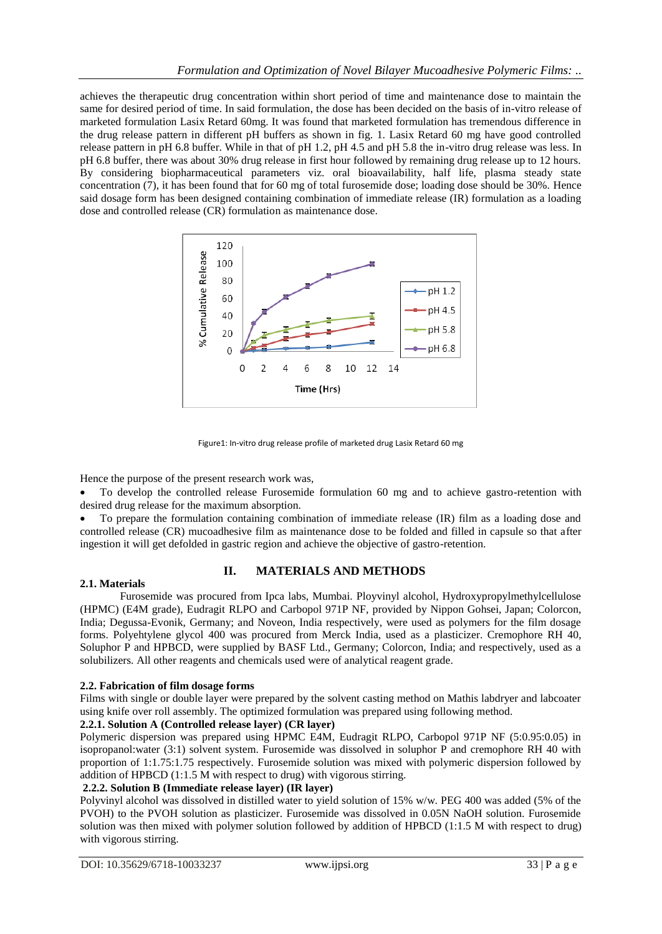achieves the therapeutic drug concentration within short period of time and maintenance dose to maintain the same for desired period of time. In said formulation, the dose has been decided on the basis of in-vitro release of marketed formulation Lasix Retard 60mg. It was found that marketed formulation has tremendous difference in the drug release pattern in different pH buffers as shown in fig. 1. Lasix Retard 60 mg have good controlled release pattern in pH 6.8 buffer. While in that of pH 1.2, pH 4.5 and pH 5.8 the in-vitro drug release was less. In pH 6.8 buffer, there was about 30% drug release in first hour followed by remaining drug release up to 12 hours. By considering biopharmaceutical parameters viz. oral bioavailability, half life, plasma steady state concentration (7), it has been found that for 60 mg of total furosemide dose; loading dose should be 30%. Hence said dosage form has been designed containing combination of immediate release (IR) formulation as a loading dose and controlled release (CR) formulation as maintenance dose.



Figure1: In-vitro drug release profile of marketed drug Lasix Retard 60 mg

Hence the purpose of the present research work was,

 To develop the controlled release Furosemide formulation 60 mg and to achieve gastro-retention with desired drug release for the maximum absorption.

 To prepare the formulation containing combination of immediate release (IR) film as a loading dose and controlled release (CR) mucoadhesive film as maintenance dose to be folded and filled in capsule so that after ingestion it will get defolded in gastric region and achieve the objective of gastro-retention.

# **II. MATERIALS AND METHODS**

## **2.1. Materials**

Furosemide was procured from Ipca labs, Mumbai. Ployvinyl alcohol, Hydroxypropylmethylcellulose (HPMC) (E4M grade), Eudragit RLPO and Carbopol 971P NF, provided by Nippon Gohsei, Japan; Colorcon, India; Degussa-Evonik, Germany; and Noveon, India respectively, were used as polymers for the film dosage forms. Polyehtylene glycol 400 was procured from Merck India, used as a plasticizer. Cremophore RH 40, Soluphor P and HPBCD, were supplied by BASF Ltd., Germany; Colorcon, India; and respectively, used as a solubilizers. All other reagents and chemicals used were of analytical reagent grade.

## **2.2. Fabrication of film dosage forms**

Films with single or double layer were prepared by the solvent casting method on Mathis labdryer and labcoater using knife over roll assembly. The optimized formulation was prepared using following method.

## **2.2.1. Solution A (Controlled release layer) (CR layer)**

Polymeric dispersion was prepared using HPMC E4M, Eudragit RLPO, Carbopol 971P NF (5:0.95:0.05) in isopropanol:water (3:1) solvent system. Furosemide was dissolved in soluphor P and cremophore RH 40 with proportion of 1:1.75:1.75 respectively. Furosemide solution was mixed with polymeric dispersion followed by addition of HPBCD (1:1.5 M with respect to drug) with vigorous stirring.

## **2.2.2. Solution B (Immediate release layer) (IR layer)**

Polyvinyl alcohol was dissolved in distilled water to yield solution of 15% w/w. PEG 400 was added (5% of the PVOH) to the PVOH solution as plasticizer. Furosemide was dissolved in 0.05N NaOH solution. Furosemide solution was then mixed with polymer solution followed by addition of HPBCD (1:1.5 M with respect to drug) with vigorous stirring.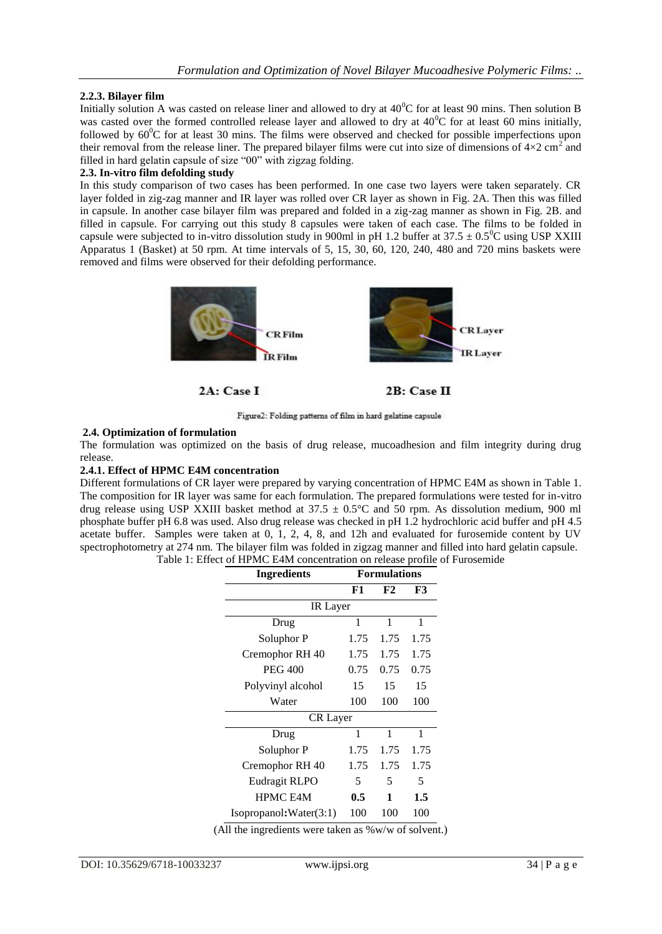## **2.2.3. Bilayer film**

Initially solution A was casted on release liner and allowed to dry at  $40^{\circ}$ C for at least 90 mins. Then solution B was casted over the formed controlled release layer and allowed to dry at  $40^{\circ}$ C for at least 60 mins initially, followed by  $60^{\circ}$ C for at least 30 mins. The films were observed and checked for possible imperfections upon their removal from the release liner. The prepared bilayer films were cut into size of dimensions of  $4\times2$  cm<sup>2</sup> and filled in hard gelatin capsule of size "00" with zigzag folding.

#### **2.3. In-vitro film defolding study**

In this study comparison of two cases has been performed. In one case two layers were taken separately. CR layer folded in zig-zag manner and IR layer was rolled over CR layer as shown in Fig. 2A. Then this was filled in capsule. In another case bilayer film was prepared and folded in a zig-zag manner as shown in Fig. 2B. and filled in capsule. For carrying out this study 8 capsules were taken of each case. The films to be folded in capsule were subjected to in-vitro dissolution study in 900ml in pH 1.2 buffer at  $37.5 \pm 0.5^0$ C using USP XXIII Apparatus 1 (Basket) at 50 rpm. At time intervals of 5, 15, 30, 60, 120, 240, 480 and 720 mins baskets were removed and films were observed for their defolding performance.



2A: Case I

2B: Case II

Figure2: Folding patterns of film in hard gelatine capsule

## **2.4. Optimization of formulation**

The formulation was optimized on the basis of drug release, mucoadhesion and film integrity during drug release.

## **2.4.1. Effect of HPMC E4M concentration**

Different formulations of CR layer were prepared by varying concentration of HPMC E4M as shown in Table 1. The composition for IR layer was same for each formulation. The prepared formulations were tested for in-vitro drug release using USP XXIII basket method at  $37.5 \pm 0.5^{\circ}$ C and 50 rpm. As dissolution medium, 900 ml phosphate buffer pH 6.8 was used. Also drug release was checked in pH 1.2 hydrochloric acid buffer and pH 4.5 acetate buffer. Samples were taken at 0, 1, 2, 4, 8, and 12h and evaluated for furosemide content by UV spectrophotometry at 274 nm. The bilayer film was folded in zigzag manner and filled into hard gelatin capsule. Table 1: Effect of HPMC E4M concentration on release profile of Furosemide

| <b>Ingredients</b>      | <b>Formulations</b> |      |      |  |  |  |  |
|-------------------------|---------------------|------|------|--|--|--|--|
|                         | F1                  | F2   | F3   |  |  |  |  |
| <b>IR</b> Layer         |                     |      |      |  |  |  |  |
| Drug                    | 1                   | 1    | 1    |  |  |  |  |
| Soluphor P              | 1.75                | 1.75 | 1.75 |  |  |  |  |
| Cremophor RH 40         | 1.75                | 1.75 | 1.75 |  |  |  |  |
| <b>PEG 400</b>          | 0.75                | 0.75 | 0.75 |  |  |  |  |
| Polyvinyl alcohol       | 15                  | 15   | 15   |  |  |  |  |
| Water                   | 100                 | 100  | 100  |  |  |  |  |
| <b>CR</b> Layer         |                     |      |      |  |  |  |  |
| Drug                    | 1                   | 1    | 1    |  |  |  |  |
| Soluphor P              | 1.75                | 1.75 | 1.75 |  |  |  |  |
| Cremophor RH 40         | 1.75                | 1.75 | 1.75 |  |  |  |  |
| Eudragit RLPO           | 5                   | 5    | 5    |  |  |  |  |
| <b>HPMC E4M</b>         | 0.5                 | 1    | 1.5  |  |  |  |  |
| Isopropanol: Water(3:1) | 100                 | 100  | 100  |  |  |  |  |

(All the ingredients were taken as %w/w of solvent.)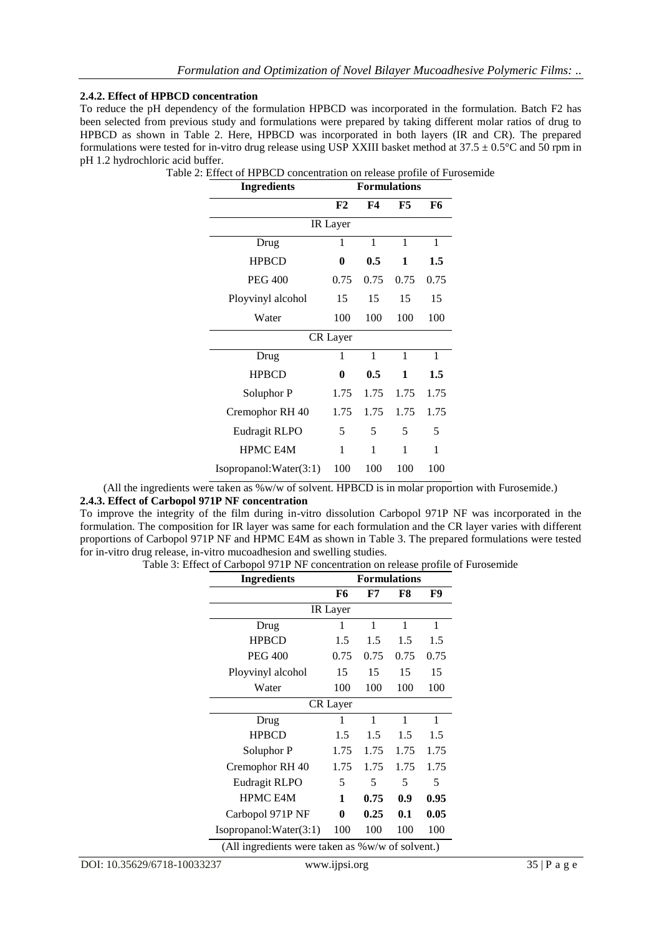### **2.4.2. Effect of HPBCD concentration**

To reduce the pH dependency of the formulation HPBCD was incorporated in the formulation. Batch F2 has been selected from previous study and formulations were prepared by taking different molar ratios of drug to HPBCD as shown in Table 2. Here, HPBCD was incorporated in both layers (IR and CR). The prepared formulations were tested for in-vitro drug release using USP XXIII basket method at  $37.5 \pm 0.5$ °C and  $50$  rpm in pH 1.2 hydrochloric acid buffer.

| Ingredients            | <b>Formulations</b> |      |      |      |  |  |  |
|------------------------|---------------------|------|------|------|--|--|--|
|                        | F2                  | F4   | F5   | F6   |  |  |  |
| IR Layer               |                     |      |      |      |  |  |  |
| Drug                   | 1                   | 1    | 1    | 1    |  |  |  |
| <b>HPBCD</b>           | $\bf{0}$            | 0.5  | 1    | 1.5  |  |  |  |
| <b>PEG 400</b>         | 0.75                | 0.75 | 0.75 | 0.75 |  |  |  |
| Ployvinyl alcohol      | 15                  | 15   | 15   | 15   |  |  |  |
| Water                  | 100                 | 100  | 100  | 100  |  |  |  |
| <b>CR</b> Layer        |                     |      |      |      |  |  |  |
| Drug                   | 1                   | 1    | 1    | 1    |  |  |  |
| <b>HPBCD</b>           | 0                   | 0.5  | 1    | 1.5  |  |  |  |
| Soluphor P             | 1.75                | 1.75 | 1.75 | 1.75 |  |  |  |
| Cremophor RH 40        | 1.75                | 1.75 | 1.75 | 1.75 |  |  |  |
| Eudragit RLPO          | 5                   | 5    | 5    | 5    |  |  |  |
| <b>HPMC E4M</b>        | 1                   | 1    | 1    | 1    |  |  |  |
| Isopropanol:Water(3:1) | 100                 | 100  | 100  | 100  |  |  |  |

Table 2: Effect of HPBCD concentration on release profile of Furosemide

(All the ingredients were taken as %w/w of solvent. HPBCD is in molar proportion with Furosemide.) **2.4.3. Effect of Carbopol 971P NF concentration**

To improve the integrity of the film during in-vitro dissolution Carbopol 971P NF was incorporated in the formulation. The composition for IR layer was same for each formulation and the CR layer varies with different proportions of Carbopol 971P NF and HPMC E4M as shown in Table 3. The prepared formulations were tested for in-vitro drug release, in-vitro mucoadhesion and swelling studies.

Table 3: Effect of Carbopol 971P NF concentration on release profile of Furosemide

| <b>Ingredients</b>                                         | <b>Formulations</b> |                                  |                    |                      |  |  |
|------------------------------------------------------------|---------------------|----------------------------------|--------------------|----------------------|--|--|
|                                                            | F6                  | F7                               | F8                 | F9                   |  |  |
| IR Layer                                                   |                     |                                  |                    |                      |  |  |
| Drug                                                       | 1                   | 1                                | 1                  | 1                    |  |  |
| <b>HPBCD</b>                                               | 1.5                 | 1.5                              | 1.5                | 1.5                  |  |  |
| <b>PEG 400</b>                                             | 0.75                | 0.75                             | 0.75               | 0.75                 |  |  |
| Ployvinyl alcohol                                          | 15                  | 15                               | 15                 | 15                   |  |  |
| Water                                                      | 100                 | 100                              | 100                | 100                  |  |  |
| <b>CR</b> Layer                                            |                     |                                  |                    |                      |  |  |
| Drug                                                       | 1                   | 1                                | 1                  | 1                    |  |  |
| <b>HPBCD</b>                                               | 1.5                 | 1.5                              | 1.5                | 1.5                  |  |  |
| Soluphor P                                                 | 1.75                | 1.75                             | 1.75               | 1.75                 |  |  |
| Cremophor RH 40                                            | 1.75                | 1.75                             | 1.75               | 1.75                 |  |  |
| Eudragit RLPO                                              | 5                   | 5                                | 5                  | 5                    |  |  |
| <b>HPMC E4M</b>                                            | 1                   | 0.75                             | 0.9                | 0.95                 |  |  |
| Carbopol 971P NF                                           | $\bf{0}$            | 0.25                             | 0.1                | 0.05                 |  |  |
| Isopropanol: Water(3:1)<br>$7.411$ $1.111$ $1.111$ $1.111$ | 100                 | 100<br>$\mathbf{A}$ $\mathbf{A}$ | 100<br>$c \cdot 1$ | 100<br>$\rightarrow$ |  |  |

(All ingredients were taken as %w/w of solvent.)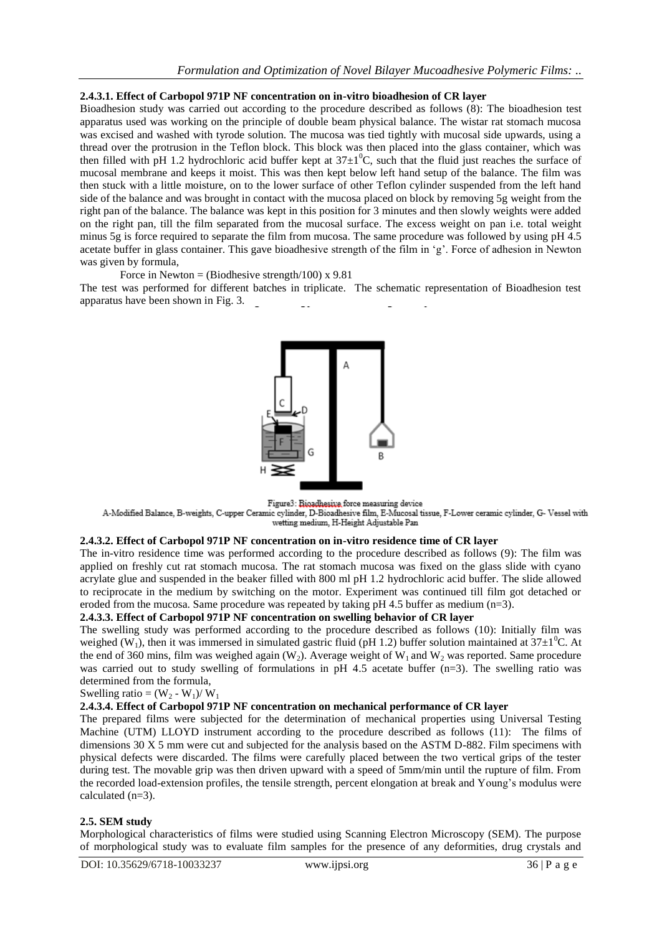#### **2.4.3.1. Effect of Carbopol 971P NF concentration on in-vitro bioadhesion of CR layer**

Bioadhesion study was carried out according to the procedure described as follows (8): The bioadhesion test apparatus used was working on the principle of double beam physical balance. The wistar rat stomach mucosa was excised and washed with tyrode solution. The mucosa was tied tightly with mucosal side upwards, using a thread over the protrusion in the Teflon block. This block was then placed into the glass container, which was then filled with pH 1.2 hydrochloric acid buffer kept at  $37\pm1^0C$ , such that the fluid just reaches the surface of mucosal membrane and keeps it moist. This was then kept below left hand setup of the balance. The film was then stuck with a little moisture, on to the lower surface of other Teflon cylinder suspended from the left hand side of the balance and was brought in contact with the mucosa placed on block by removing 5g weight from the right pan of the balance. The balance was kept in this position for 3 minutes and then slowly weights were added on the right pan, till the film separated from the mucosal surface. The excess weight on pan i.e. total weight minus 5g is force required to separate the film from mucosa. The same procedure was followed by using pH 4.5 acetate buffer in glass container. This gave bioadhesive strength of the film in 'g'. Force of adhesion in Newton was given by formula,

Force in Newton = (Biodhesive strength/100) x 9.81

The test was performed for different batches in triplicate. The schematic representation of Bioadhesion test apparatus have been shown in Fig. 3.



Figure3: Bioadhesive force measuring device

A-Modified Balance, B-weights, C-upper Ceramic cylinder, D-Bioadhesive film, E-Mucosal tissue, F-Lower ceramic cylinder, G- Vessel with wetting medium, H-Height Adjustable Pan

#### **2.4.3.2. Effect of Carbopol 971P NF concentration on in-vitro residence time of CR layer**

The in-vitro residence time was performed according to the procedure described as follows (9): The film was applied on freshly cut rat stomach mucosa. The rat stomach mucosa was fixed on the glass slide with cyano acrylate glue and suspended in the beaker filled with 800 ml pH 1.2 hydrochloric acid buffer. The slide allowed to reciprocate in the medium by switching on the motor. Experiment was continued till film got detached or eroded from the mucosa. Same procedure was repeated by taking  $pH$  4.5 buffer as medium ( $n=3$ ).

## **2.4.3.3. Effect of Carbopol 971P NF concentration on swelling behavior of CR layer**

The swelling study was performed according to the procedure described as follows (10): Initially film was weighed (W<sub>1</sub>), then it was immersed in simulated gastric fluid (pH 1.2) buffer solution maintained at  $37\pm10^{\circ}$ C. At the end of 360 mins, film was weighed again (W<sub>2</sub>). Average weight of W<sub>1</sub> and W<sub>2</sub> was reported. Same procedure was carried out to study swelling of formulations in pH 4.5 acetate buffer (n=3). The swelling ratio was determined from the formula,

### Swelling ratio =  $(W_2 - W_1)/W_1$

## **2.4.3.4. Effect of Carbopol 971P NF concentration on mechanical performance of CR layer**

The prepared films were subjected for the determination of mechanical properties using Universal Testing Machine (UTM) LLOYD instrument according to the procedure described as follows (11): The films of dimensions 30 X 5 mm were cut and subjected for the analysis based on the ASTM D-882. Film specimens with physical defects were discarded. The films were carefully placed between the two vertical grips of the tester during test. The movable grip was then driven upward with a speed of 5mm/min until the rupture of film. From the recorded load-extension profiles, the tensile strength, percent elongation at break and Young"s modulus were calculated (n=3).

#### **2.5. SEM study**

Morphological characteristics of films were studied using Scanning Electron Microscopy (SEM). The purpose of morphological study was to evaluate film samples for the presence of any deformities, drug crystals and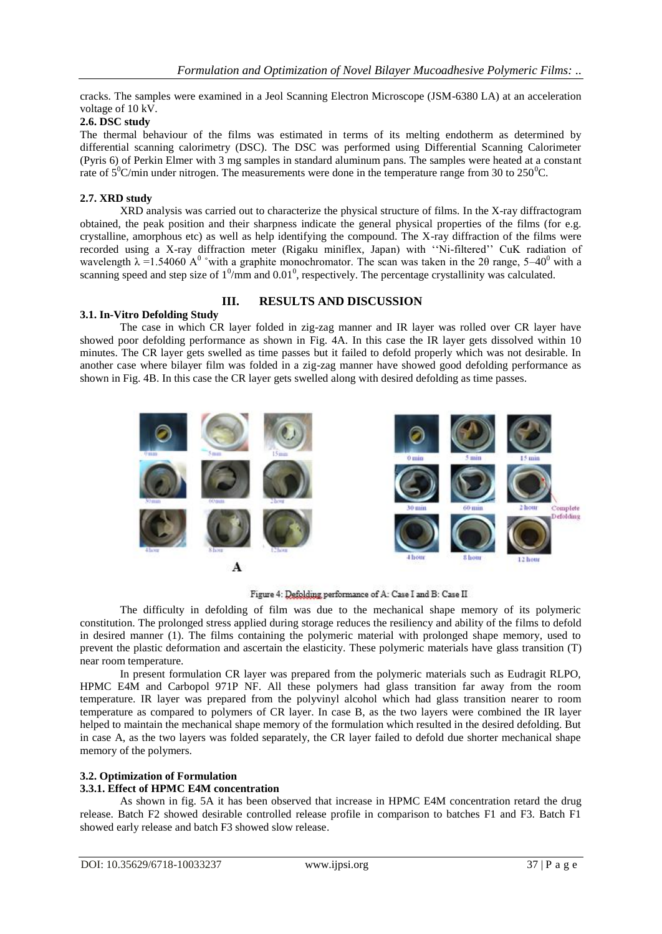cracks. The samples were examined in a Jeol Scanning Electron Microscope (JSM-6380 LA) at an acceleration voltage of 10 kV.

## **2.6. DSC study**

The thermal behaviour of the films was estimated in terms of its melting endotherm as determined by differential scanning calorimetry (DSC). The DSC was performed using Differential Scanning Calorimeter (Pyris 6) of Perkin Elmer with 3 mg samples in standard aluminum pans. The samples were heated at a constant rate of  $5^{\circ}$ C/min under nitrogen. The measurements were done in the temperature range from 30 to 250 $^{\circ}$ C.

#### **2.7. XRD study**

XRD analysis was carried out to characterize the physical structure of films. In the X-ray diffractogram obtained, the peak position and their sharpness indicate the general physical properties of the films (for e.g. crystalline, amorphous etc) as well as help identifying the compound. The X-ray diffraction of the films were recorded using a X-ray diffraction meter (Rigaku miniflex, Japan) with ""Ni-filtered"" CuK radiation of wavelength  $\lambda$  =1.54060 A<sup>0</sup> °with a graphite monochromator. The scan was taken in the 20 range, 5–40<sup>0</sup> with a scanning speed and step size of  $1^0$ /mm and  $0.01^0$ , respectively. The percentage crystallinity was calculated.

# **III. RESULTS AND DISCUSSION**

## **3.1. In-Vitro Defolding Study**

The case in which CR layer folded in zig-zag manner and IR layer was rolled over CR layer have showed poor defolding performance as shown in Fig. 4A. In this case the IR layer gets dissolved within 10 minutes. The CR layer gets swelled as time passes but it failed to defold properly which was not desirable. In another case where bilayer film was folded in a zig-zag manner have showed good defolding performance as shown in Fig. 4B. In this case the CR layer gets swelled along with desired defolding as time passes.



Figure 4: Defolding performance of A: Case I and B: Case II

The difficulty in defolding of film was due to the mechanical shape memory of its polymeric constitution. The prolonged stress applied during storage reduces the resiliency and ability of the films to defold in desired manner (1). The films containing the polymeric material with prolonged shape memory, used to prevent the plastic deformation and ascertain the elasticity. These polymeric materials have glass transition (T) near room temperature.

In present formulation CR layer was prepared from the polymeric materials such as Eudragit RLPO, HPMC E4M and Carbopol 971P NF. All these polymers had glass transition far away from the room temperature. IR layer was prepared from the polyvinyl alcohol which had glass transition nearer to room temperature as compared to polymers of CR layer. In case B, as the two layers were combined the IR layer helped to maintain the mechanical shape memory of the formulation which resulted in the desired defolding. But in case A, as the two layers was folded separately, the CR layer failed to defold due shorter mechanical shape memory of the polymers.

## **3.2. Optimization of Formulation**

#### **3.3.1. Effect of HPMC E4M concentration**

As shown in fig. 5A it has been observed that increase in HPMC E4M concentration retard the drug release. Batch F2 showed desirable controlled release profile in comparison to batches F1 and F3. Batch F1 showed early release and batch F3 showed slow release.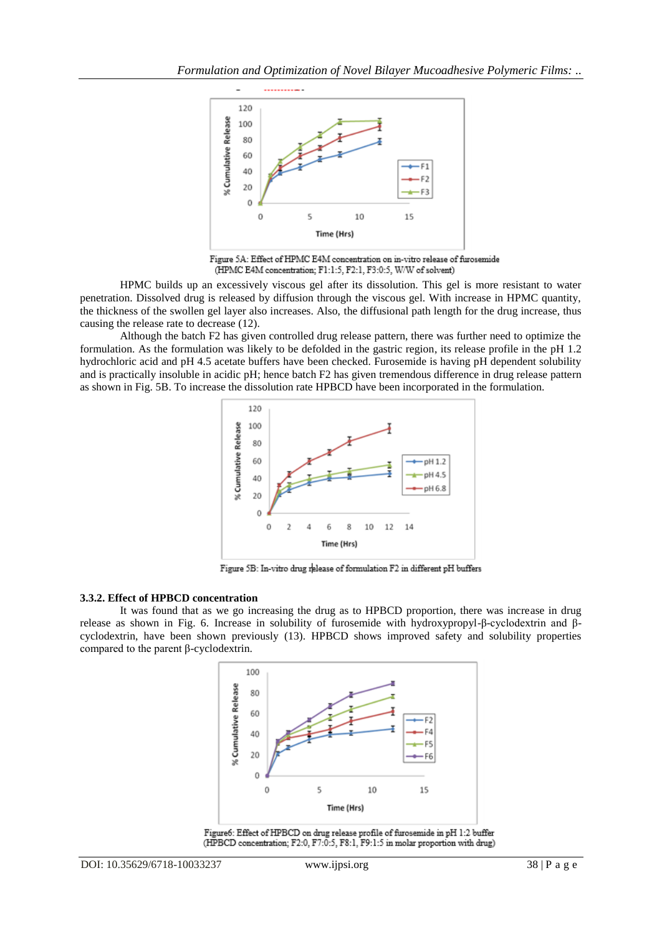

Figure 5A: Effect of HPMC E4M concentration on in-vitro release of furosemide (HPMC E4M concentration; F1:1:5, F2:1, F3:0:5, W/W of solvent)

HPMC builds up an excessively viscous gel after its dissolution. This gel is more resistant to water penetration. Dissolved drug is released by diffusion through the viscous gel. With increase in HPMC quantity, the thickness of the swollen gel layer also increases. Also, the diffusional path length for the drug increase, thus causing the release rate to decrease (12).

Although the batch F2 has given controlled drug release pattern, there was further need to optimize the formulation. As the formulation was likely to be defolded in the gastric region, its release profile in the pH 1.2 hydrochloric acid and pH 4.5 acetate buffers have been checked. Furosemide is having pH dependent solubility and is practically insoluble in acidic pH; hence batch F2 has given tremendous difference in drug release pattern as shown in Fig. 5B. To increase the dissolution rate HPBCD have been incorporated in the formulation.



Figure 5B: In-vitro drug release of formulation F2 in different pH buffers

#### **3.3.2. Effect of HPBCD concentration**

It was found that as we go increasing the drug as to HPBCD proportion, there was increase in drug release as shown in Fig. 6. Increase in solubility of furosemide with hydroxypropyl-β-cyclodextrin and βcyclodextrin, have been shown previously (13). HPBCD shows improved safety and solubility properties compared to the parent β-cyclodextrin.



Figure6: Effect of HPBCD on drug release profile of furosemide in pH 1:2 buffer (HPBCD concentration; F2:0, F7:0:5, F8:1, F9:1:5 in molar proportion with drug)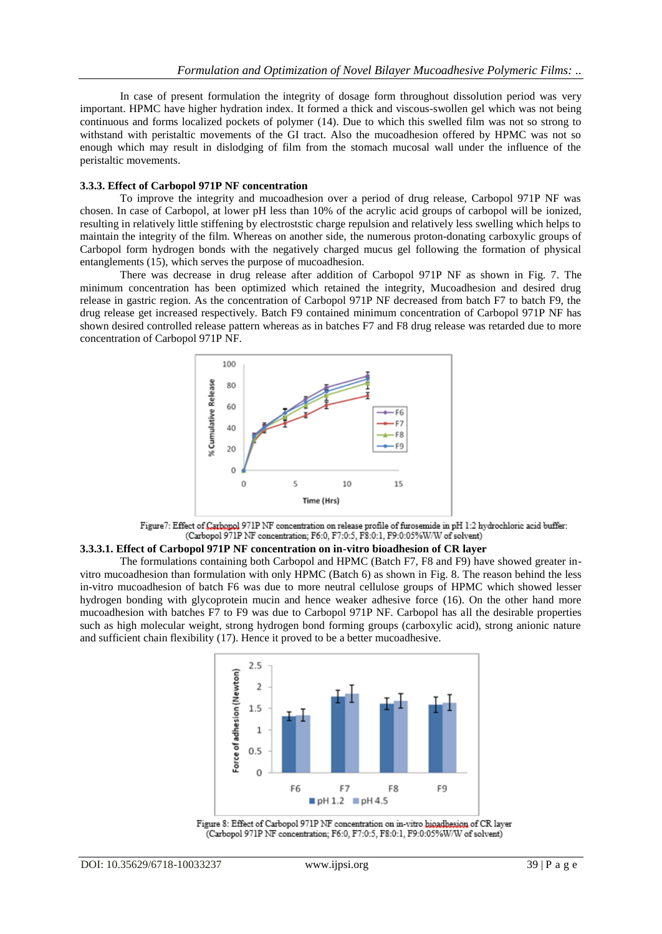In case of present formulation the integrity of dosage form throughout dissolution period was very important. HPMC have higher hydration index. It formed a thick and viscous-swollen gel which was not being continuous and forms localized pockets of polymer (14). Due to which this swelled film was not so strong to withstand with peristaltic movements of the GI tract. Also the mucoadhesion offered by HPMC was not so enough which may result in dislodging of film from the stomach mucosal wall under the influence of the peristaltic movements.

#### **3.3.3. Effect of Carbopol 971P NF concentration**

To improve the integrity and mucoadhesion over a period of drug release, Carbopol 971P NF was chosen. In case of Carbopol, at lower pH less than 10% of the acrylic acid groups of carbopol will be ionized, resulting in relatively little stiffening by electroststic charge repulsion and relatively less swelling which helps to maintain the integrity of the film. Whereas on another side, the numerous proton-donating carboxylic groups of Carbopol form hydrogen bonds with the negatively charged mucus gel following the formation of physical entanglements (15), which serves the purpose of mucoadhesion.

There was decrease in drug release after addition of Carbopol 971P NF as shown in Fig. 7. The minimum concentration has been optimized which retained the integrity, Mucoadhesion and desired drug release in gastric region. As the concentration of Carbopol 971P NF decreased from batch F7 to batch F9, the drug release get increased respectively. Batch F9 contained minimum concentration of Carbopol 971P NF has shown desired controlled release pattern whereas as in batches F7 and F8 drug release was retarded due to more concentration of Carbopol 971P NF.



Figure7: Effect of Carbopol 971P NF concentration on release profile of furosemide in pH 1:2 hydrochloric acid buffer: (Carbopol 971P NF concentration; F6:0, F7:0:5, F8:0:1, F9:0:05%W/W of solvent)

#### **3.3.3.1. Effect of Carbopol 971P NF concentration on in-vitro bioadhesion of CR layer**

The formulations containing both Carbopol and HPMC (Batch F7, F8 and F9) have showed greater invitro mucoadhesion than formulation with only HPMC (Batch 6) as shown in Fig. 8. The reason behind the less in-vitro mucoadhesion of batch F6 was due to more neutral cellulose groups of HPMC which showed lesser hydrogen bonding with glycoprotein mucin and hence weaker adhesive force (16). On the other hand more mucoadhesion with batches F7 to F9 was due to Carbopol 971P NF. Carbopol has all the desirable properties such as high molecular weight, strong hydrogen bond forming groups (carboxylic acid), strong anionic nature and sufficient chain flexibility (17). Hence it proved to be a better mucoadhesive.



Figure 8: Effect of Carbopol 971P NF concentration on in-vitro bioadbesion of CR layer (Carbopol 971P NF concentration; F6:0, F7:0:5, F8:0:1, F9:0:05%W/W of solvent)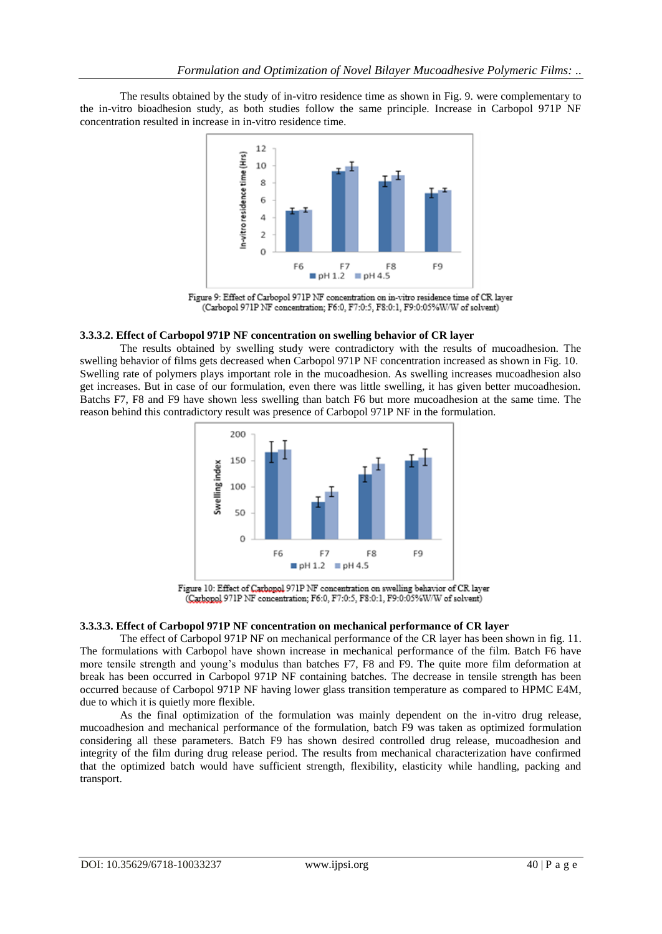The results obtained by the study of in-vitro residence time as shown in Fig. 9. were complementary to the in-vitro bioadhesion study, as both studies follow the same principle. Increase in Carbopol 971P NF concentration resulted in increase in in-vitro residence time.



Figure 9: Effect of Carbopol 971P NF concentration on in-vitro residence time of CR layer (Carbopol 971P NF concentration; F6:0, F7:0:5, F8:0:1, F9:0:05%W/W of solvent)

### **3.3.3.2. Effect of Carbopol 971P NF concentration on swelling behavior of CR layer**

The results obtained by swelling study were contradictory with the results of mucoadhesion. The swelling behavior of films gets decreased when Carbopol 971P NF concentration increased as shown in Fig. 10. Swelling rate of polymers plays important role in the mucoadhesion. As swelling increases mucoadhesion also get increases. But in case of our formulation, even there was little swelling, it has given better mucoadhesion. Batchs F7, F8 and F9 have shown less swelling than batch F6 but more mucoadhesion at the same time. The reason behind this contradictory result was presence of Carbopol 971P NF in the formulation.



Figure 10: Effect of Carbopol 971P NF concentration on swelling behavior of CR layer (Carbopol 971P NF concentration; F6:0, F7:0:5, F8:0:1, F9:0:05%W/W of solvent)

#### **3.3.3.3. Effect of Carbopol 971P NF concentration on mechanical performance of CR layer**

The effect of Carbopol 971P NF on mechanical performance of the CR layer has been shown in fig. 11. The formulations with Carbopol have shown increase in mechanical performance of the film. Batch F6 have more tensile strength and young"s modulus than batches F7, F8 and F9. The quite more film deformation at break has been occurred in Carbopol 971P NF containing batches. The decrease in tensile strength has been occurred because of Carbopol 971P NF having lower glass transition temperature as compared to HPMC E4M, due to which it is quietly more flexible.

As the final optimization of the formulation was mainly dependent on the in-vitro drug release, mucoadhesion and mechanical performance of the formulation, batch F9 was taken as optimized formulation considering all these parameters. Batch F9 has shown desired controlled drug release, mucoadhesion and integrity of the film during drug release period. The results from mechanical characterization have confirmed that the optimized batch would have sufficient strength, flexibility, elasticity while handling, packing and transport.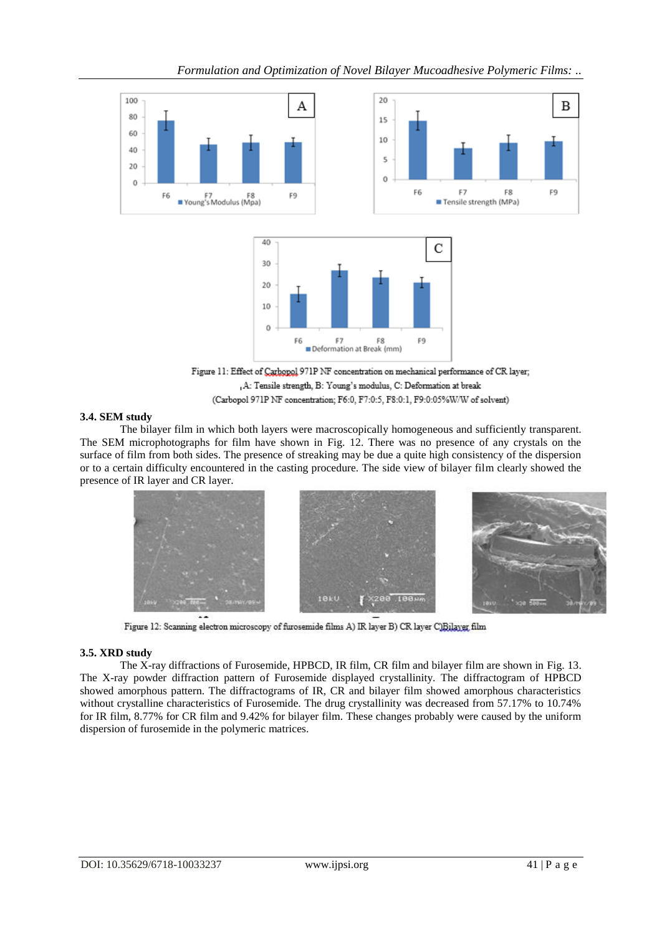

, A: Tensile strength, B: Young's modulus, C: Deformation at break (Carbopol 971P NF concentration; F6:0, F7:0:5, F8:0:1, F9:0:05%W/W of solvent)

## **3.4. SEM study**

The bilayer film in which both layers were macroscopically homogeneous and sufficiently transparent. The SEM microphotographs for film have shown in Fig. 12. There was no presence of any crystals on the surface of film from both sides. The presence of streaking may be due a quite high consistency of the dispersion or to a certain difficulty encountered in the casting procedure. The side view of bilayer film clearly showed the presence of IR layer and CR layer.



Figure 12: Scanning electron microscopy of furosemide films A) IR layer B) CR layer C)Bilayer film

## **3.5. XRD study**

The X-ray diffractions of Furosemide, HPBCD, IR film, CR film and bilayer film are shown in Fig. 13. The X-ray powder diffraction pattern of Furosemide displayed crystallinity. The diffractogram of HPBCD showed amorphous pattern. The diffractograms of IR, CR and bilayer film showed amorphous characteristics without crystalline characteristics of Furosemide. The drug crystallinity was decreased from 57.17% to 10.74% for IR film, 8.77% for CR film and 9.42% for bilayer film. These changes probably were caused by the uniform dispersion of furosemide in the polymeric matrices.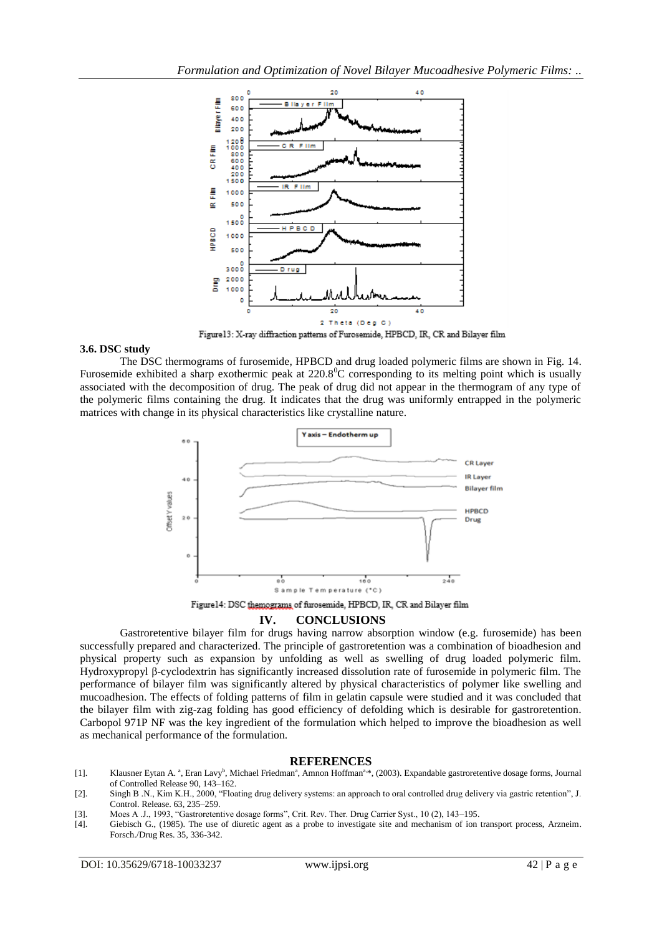

Figure13: X-ray diffraction patterns of Furosemide, HPBCD, IR, CR and Bilayer film

#### **3.6. DSC study**

The DSC thermograms of furosemide, HPBCD and drug loaded polymeric films are shown in Fig. 14. Furosemide exhibited a sharp exothermic peak at  $220.8^{\circ}$ C corresponding to its melting point which is usually associated with the decomposition of drug. The peak of drug did not appear in the thermogram of any type of the polymeric films containing the drug. It indicates that the drug was uniformly entrapped in the polymeric matrices with change in its physical characteristics like crystalline nature.



Figure 14: DSC themograms of furosemide, HPBCD, IR, CR and Bilayer film

#### **IV. CONCLUSIONS**

Gastroretentive bilayer film for drugs having narrow absorption window (e.g. furosemide) has been successfully prepared and characterized. The principle of gastroretention was a combination of bioadhesion and physical property such as expansion by unfolding as well as swelling of drug loaded polymeric film. Hydroxypropyl β-cyclodextrin has significantly increased dissolution rate of furosemide in polymeric film. The performance of bilayer film was significantly altered by physical characteristics of polymer like swelling and mucoadhesion. The effects of folding patterns of film in gelatin capsule were studied and it was concluded that the bilayer film with zig-zag folding has good efficiency of defolding which is desirable for gastroretention. Carbopol 971P NF was the key ingredient of the formulation which helped to improve the bioadhesion as well as mechanical performance of the formulation.

#### **REFERENCES**

- [1]. Klausner Eytan A. <sup>a</sup>, Eran Lavy<sup>b</sup>, Michael Friedman<sup>a</sup>, Amnon Hoffman<sup>a, \*</sup>, (2003). Expandable gastroretentive dosage forms, Journal of Controlled Release 90, 143–162.
- [2]. Singh B .N., Kim K.H., 2000, "Floating drug delivery systems: an approach to oral controlled drug delivery via gastric retention", J. Control. Release. 63, 235–259.
- [3]. Moes A .J., 1993, "Gastroretentive dosage forms", Crit. Rev. Ther. Drug Carrier Syst., 10 (2), 143–195.
- [4]. Giebisch G., (1985). The use of diuretic agent as a probe to investigate site and mechanism of ion transport process, Arzneim. Forsch./Drug Res. 35, 336-342.